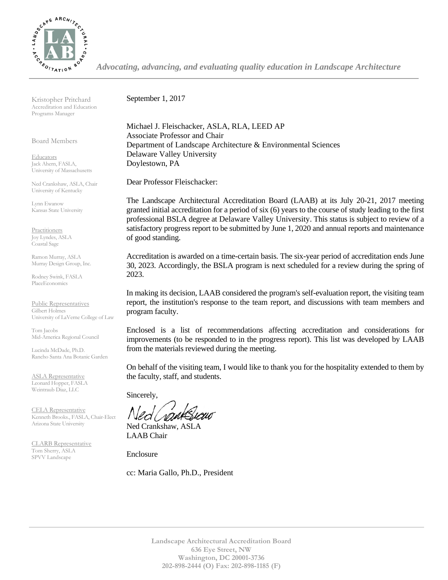

*Advocating, advancing, and evaluating quality education in Landscape Architecture*

Kristopher Pritchard Accreditation and Education Programs Manager

Board Members

**Educators** Jack Ahern, FASLA, University of Massachusetts

Ned Crankshaw, ASLA, Chair University of Kentucky

Lynn Ewanow Kansas State University

**Practitioners** Joy Lyndes, ASLA Coastal Sage

Ramon Murray, ASLA Murray Design Group, Inc.

Rodney Swink, FASLA PlaceEconomics

Public Representatives Gilbert Holmes University of LaVerne College of Law

Tom Jacobs Mid-America Regional Council

Lucinda McDade, Ph.D. Rancho Santa Ana Botanic Garden

ASLA Representative Leonard Hopper, FASLA Weintraub Diaz, LLC

CELA Representative Kenneth Brooks., FASLA, Chair-Elect Arizona State University

CLARB Representative Tom Sherry, ASLA SPVV Landscape

September 1, 2017

Michael J. Fleischacker, ASLA, RLA, LEED AP Associate Professor and Chair Department of Landscape Architecture & Environmental Sciences Delaware Valley University Doylestown, PA

Dear Professor Fleischacker:

The Landscape Architectural Accreditation Board (LAAB) at its July 20-21, 2017 meeting granted initial accreditation for a period of six (6) years to the course of study leading to the first professional BSLA degree at Delaware Valley University. This status is subject to review of a satisfactory progress report to be submitted by June 1, 2020 and annual reports and maintenance of good standing.

Accreditation is awarded on a time-certain basis. The six-year period of accreditation ends June 30, 2023. Accordingly, the BSLA program is next scheduled for a review during the spring of 2023.

In making its decision, LAAB considered the program's self-evaluation report, the visiting team report, the institution's response to the team report, and discussions with team members and program faculty.

Enclosed is a list of recommendations affecting accreditation and considerations for improvements (to be responded to in the progress report). This list was developed by LAAB from the materials reviewed during the meeting.

On behalf of the visiting team, I would like to thank you for the hospitality extended to them by the faculty, staff, and students.

Sincerely,

Ned Crankshaw, ASLA LAAB Chair

Enclosure

cc: Maria Gallo, Ph.D., President